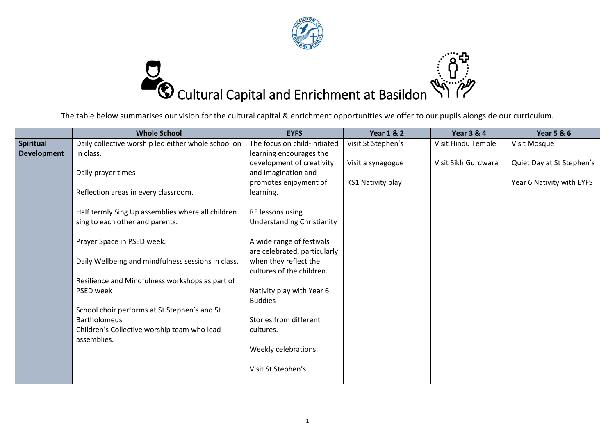



The table below summarises our vision for the cultural capital & enrichment opportunities we offer to our pupils alongside our curriculum.

|                    | <b>Whole School</b>                                 | <b>EYFS</b>                       | <b>Year 1 &amp; 2</b> | <b>Year 3 &amp; 4</b> | <b>Year 5 &amp; 6</b>     |
|--------------------|-----------------------------------------------------|-----------------------------------|-----------------------|-----------------------|---------------------------|
| <b>Spiritual</b>   | Daily collective worship led either whole school on | The focus on child-initiated      | Visit St Stephen's    | Visit Hindu Temple    | Visit Mosque              |
| <b>Development</b> | in class.                                           | learning encourages the           |                       |                       |                           |
|                    |                                                     | development of creativity         | Visit a synagogue     | Visit Sikh Gurdwara   | Quiet Day at St Stephen's |
|                    | Daily prayer times                                  | and imagination and               |                       |                       |                           |
|                    |                                                     | promotes enjoyment of             | KS1 Nativity play     |                       | Year 6 Nativity with EYFS |
|                    | Reflection areas in every classroom.                | learning.                         |                       |                       |                           |
|                    | Half termly Sing Up assemblies where all children   | RE lessons using                  |                       |                       |                           |
|                    | sing to each other and parents.                     | <b>Understanding Christianity</b> |                       |                       |                           |
|                    | Prayer Space in PSED week.                          | A wide range of festivals         |                       |                       |                           |
|                    |                                                     | are celebrated, particularly      |                       |                       |                           |
|                    | Daily Wellbeing and mindfulness sessions in class.  | when they reflect the             |                       |                       |                           |
|                    |                                                     | cultures of the children.         |                       |                       |                           |
|                    | Resilience and Mindfulness workshops as part of     |                                   |                       |                       |                           |
|                    | PSED week                                           | Nativity play with Year 6         |                       |                       |                           |
|                    |                                                     | <b>Buddies</b>                    |                       |                       |                           |
|                    | School choir performs at St Stephen's and St        |                                   |                       |                       |                           |
|                    | <b>Bartholomeus</b>                                 | Stories from different            |                       |                       |                           |
|                    | Children's Collective worship team who lead         | cultures.                         |                       |                       |                           |
|                    | assemblies.                                         |                                   |                       |                       |                           |
|                    |                                                     | Weekly celebrations.              |                       |                       |                           |
|                    |                                                     | Visit St Stephen's                |                       |                       |                           |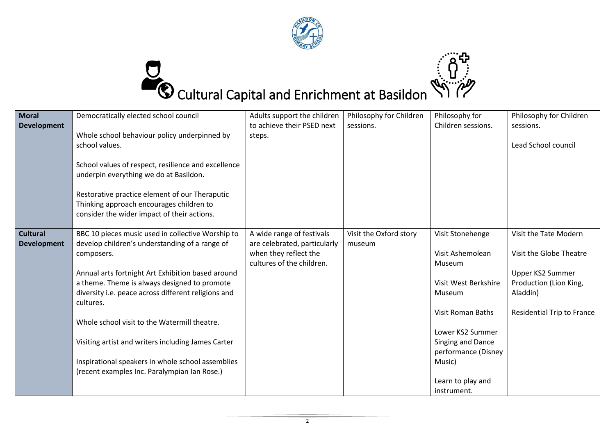



| <b>Moral</b><br><b>Development</b>    | Democratically elected school council<br>Whole school behaviour policy underpinned by<br>school values.<br>School values of respect, resilience and excellence<br>underpin everything we do at Basildon.<br>Restorative practice element of our Theraputic<br>Thinking approach encourages children to<br>consider the wider impact of their actions.                                                                                                                                                 | Adults support the children<br>to achieve their PSED next<br>steps.                                             | Philosophy for Children<br>sessions. | Philosophy for<br>Children sessions.                                                                                                                                                                                       | Philosophy for Children<br>sessions.<br>Lead School council                                                                                     |
|---------------------------------------|-------------------------------------------------------------------------------------------------------------------------------------------------------------------------------------------------------------------------------------------------------------------------------------------------------------------------------------------------------------------------------------------------------------------------------------------------------------------------------------------------------|-----------------------------------------------------------------------------------------------------------------|--------------------------------------|----------------------------------------------------------------------------------------------------------------------------------------------------------------------------------------------------------------------------|-------------------------------------------------------------------------------------------------------------------------------------------------|
| <b>Cultural</b><br><b>Development</b> | BBC 10 pieces music used in collective Worship to<br>develop children's understanding of a range of<br>composers.<br>Annual arts fortnight Art Exhibition based around<br>a theme. Theme is always designed to promote<br>diversity i.e. peace across different religions and<br>cultures.<br>Whole school visit to the Watermill theatre.<br>Visiting artist and writers including James Carter<br>Inspirational speakers in whole school assemblies<br>(recent examples Inc. Paralympian Ian Rose.) | A wide range of festivals<br>are celebrated, particularly<br>when they reflect the<br>cultures of the children. | Visit the Oxford story<br>museum     | Visit Stonehenge<br>Visit Ashemolean<br>Museum<br>Visit West Berkshire<br>Museum<br><b>Visit Roman Baths</b><br>Lower KS2 Summer<br>Singing and Dance<br>performance (Disney<br>Music)<br>Learn to play and<br>instrument. | Visit the Tate Modern<br>Visit the Globe Theatre<br>Upper KS2 Summer<br>Production (Lion King,<br>Aladdin)<br><b>Residential Trip to France</b> |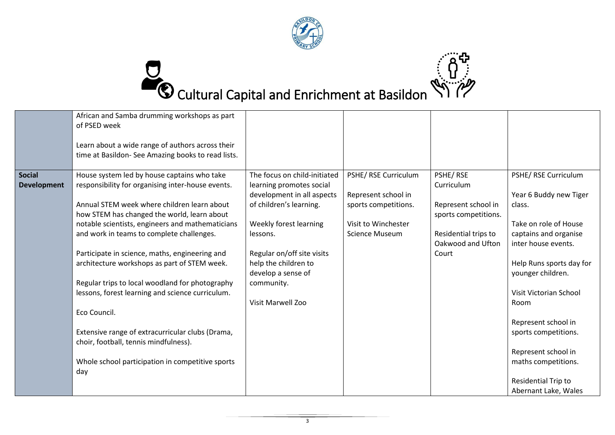

## Cultural Capital and Enrichment at Basildon

|                                     | African and Samba drumming workshops as part<br>of PSED week<br>Learn about a wide range of authors across their<br>time at Basildon- See Amazing books to read lists.                                                                                                                                                                                                                                                                                                                                                                                                                                                                                                           |                                                                                                                                                                                                                                                                        |                                                                                                                     |                                                                                                                             |                                                                                                                                                                                                                                                                                                                                                                  |
|-------------------------------------|----------------------------------------------------------------------------------------------------------------------------------------------------------------------------------------------------------------------------------------------------------------------------------------------------------------------------------------------------------------------------------------------------------------------------------------------------------------------------------------------------------------------------------------------------------------------------------------------------------------------------------------------------------------------------------|------------------------------------------------------------------------------------------------------------------------------------------------------------------------------------------------------------------------------------------------------------------------|---------------------------------------------------------------------------------------------------------------------|-----------------------------------------------------------------------------------------------------------------------------|------------------------------------------------------------------------------------------------------------------------------------------------------------------------------------------------------------------------------------------------------------------------------------------------------------------------------------------------------------------|
| <b>Social</b><br><b>Development</b> | House system led by house captains who take<br>responsibility for organising inter-house events.<br>Annual STEM week where children learn about<br>how STEM has changed the world, learn about<br>notable scientists, engineers and mathematicians<br>and work in teams to complete challenges.<br>Participate in science, maths, engineering and<br>architecture workshops as part of STEM week.<br>Regular trips to local woodland for photography<br>lessons, forest learning and science curriculum.<br>Eco Council.<br>Extensive range of extracurricular clubs (Drama,<br>choir, football, tennis mindfulness).<br>Whole school participation in competitive sports<br>day | The focus on child-initiated<br>learning promotes social<br>development in all aspects<br>of children's learning.<br>Weekly forest learning<br>lessons.<br>Regular on/off site visits<br>help the children to<br>develop a sense of<br>community.<br>Visit Marwell Zoo | PSHE/ RSE Curriculum<br>Represent school in<br>sports competitions.<br>Visit to Winchester<br><b>Science Museum</b> | PSHE/RSE<br>Curriculum<br>Represent school in<br>sports competitions.<br>Residential trips to<br>Oakwood and Ufton<br>Court | PSHE/ RSE Curriculum<br>Year 6 Buddy new Tiger<br>class.<br>Take on role of House<br>captains and organise<br>inter house events.<br>Help Runs sports day for<br>younger children.<br>Visit Victorian School<br>Room<br>Represent school in<br>sports competitions.<br>Represent school in<br>maths competitions.<br>Residential Trip to<br>Abernant Lake, Wales |